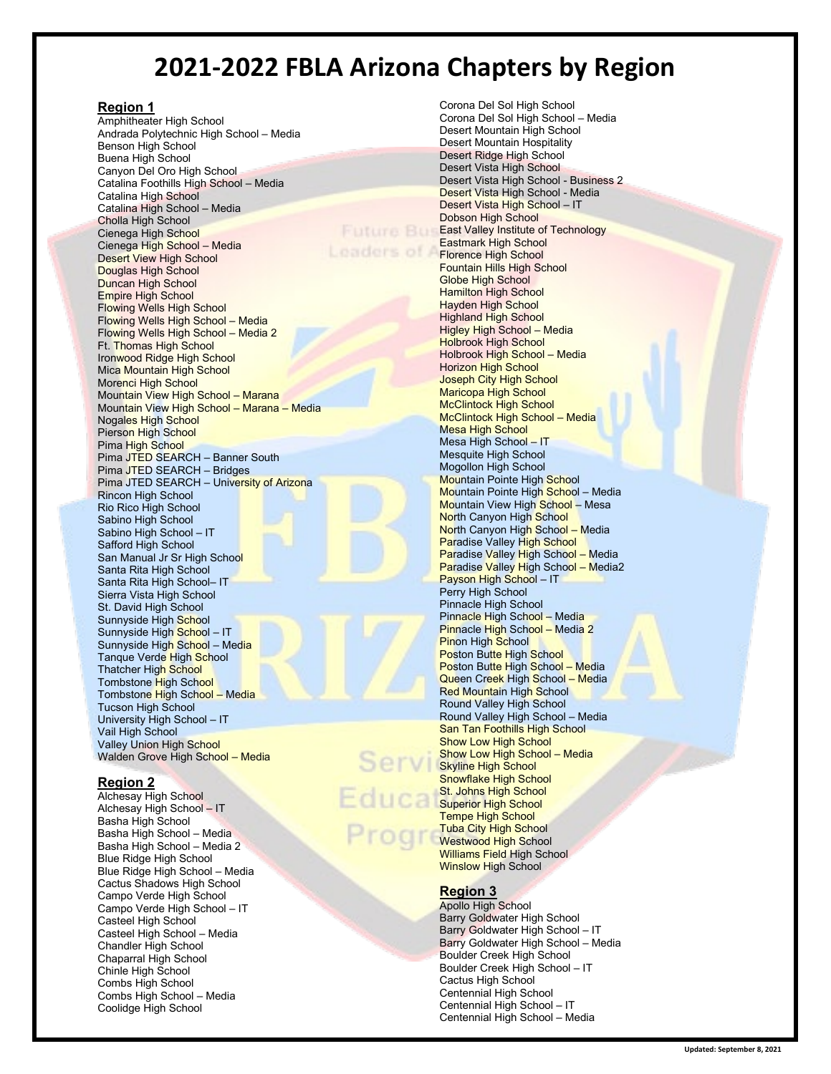# **2021-2022 FBLA Arizona Chapters by Region**

#### **Region 1**

Amphitheater High School Andrada Polytechnic High School – Media Benson High School Buena High School Canyon Del Oro High School Catalina Foothills High School – Media Catalina High School Catalina High School – Media Cholla High School Cienega High School Cienega High School – Media Desert View High School Douglas High School Duncan High School Empire High School Flowing Wells High School Flowing Wells High School – Media Flowing Wells High School – Media 2 Ft. Thomas High School Ironwood Ridge High School Mica Mountain High School Morenci High School Mountain View High School – Marana Mountain View High School – Marana – Media Nogales High School Pierson High School Pima High School Pima JTED SEARCH – Banner South Pima JTED SEARCH – Bridges Pima JTED SEARCH – University of Arizona Rincon High School Rio Rico High School Sabino High School Sabino High School – IT Safford High School San Manual Jr Sr High School Santa Rita High School Santa Rita High School– IT Sierra Vista High School St. David High School Sunnyside High School Sunnyside High School – IT Sunnyside Hig<mark>h Schoo</mark>l – Med<mark>ia</mark> Tanque Verde <mark>H</mark>igh <mark>Sch</mark>ool Thatcher High School Tombstone High School Tombstone High School – Media Tucson High School University High School – IT Vail High School Valley Union High School Walden Grove High School – Media

## **Region 2**

Alchesay High School Alchesay High School – IT Basha High School Basha High School – Media Basha High School – Media 2 Blue Ridge High School Blue Ridge High School – Media Cactus Shadows High School Campo Verde High School Campo Verde High School – IT Casteel High School Casteel High School – Media Chandler High School Chaparral High School Chinle High School Combs High School Combs High School – Media Coolidge High School

Corona Del Sol High School Corona Del Sol High School – Media Desert Mountain High School Desert Mountain Hospitality Desert Ridge High School Desert Vista High School Desert Vista High School - Business 2 Desert Vista High School - Media Desert Vista High School – IT Dobson High School **East Valley Institute of Technology** Eastmark High School **Little Florence High School** Fountain Hills High School Globe High School **Hamilton High School** Hayden High School Highland High School Higley High School – Media Holbrook High School Holbrook High School – Media Horizon High School Joseph City High School Maricopa High School McClintock High School McClintock High School – Media Mesa High School Mesa High School – IT Mesquite High School Mogollon High School Mountain Pointe High School Mountain Pointe High School – Media Mountain View High School – Mesa **North Canyon High School** North Canyon High School – Media Paradise Valley High School Paradise Valley High School – Media Paradise Valley High School - Media2 Payson High School – IT Perry High School Pinnacle High School Pinnacle High School – Media Pinnacle High School – Media 2 Pinon High School Poston Butte High School Poston Butte High School – Media Queen Creek High School – Media Red Mountain High School Round Valley High School Round Valley High School – Media San Tan Foothills High School Show Low High School Show Low High School – Media Skyline High School Snowflake High School St. Johns High School Superior High School Tempe High School Tuba City High School Westwood High School Williams Field High School **Winslow High School** 

## **Region 3**

Apollo High School Barry Goldwater High School Barry Goldwater High School – IT Barry Goldwater High School – Media Boulder Creek High School Boulder Creek High School – IT Cactus High School Centennial High School Centennial High School – IT Centennial High School – Media